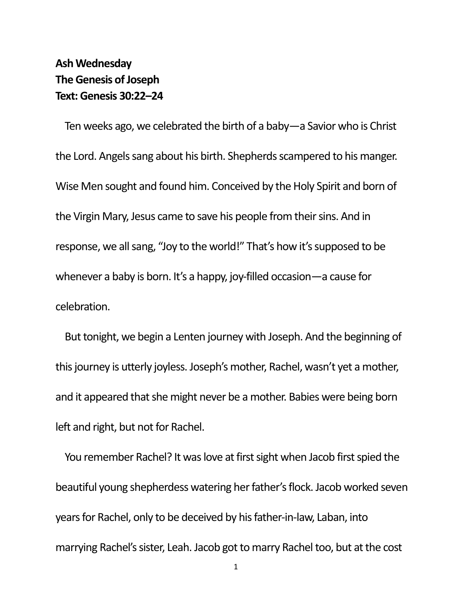## **Ash Wednesday The Genesis of Joseph Text: Genesis 30:22–24**

Ten weeks ago, we celebrated the birth of a baby—a Savior who is Christ the Lord. Angels sang about his birth. Shepherds scampered to his manger. Wise Men sought and found him. Conceived by the Holy Spirit and born of the Virgin Mary, Jesus came to save his people from their sins. And in response, we all sang, "Joy to the world!" That's how it's supposed to be whenever a baby is born. It's a happy, joy-filled occasion—a cause for celebration.

But tonight, we begin a Lenten journey with Joseph. And the beginning of this journey is utterly joyless. Joseph's mother, Rachel, wasn't yet a mother, and it appeared that she might never be a mother. Babies were being born left and right, but not for Rachel.

You remember Rachel? It was love at first sight when Jacob first spied the beautiful young shepherdess watering her father's flock. Jacob worked seven years for Rachel, only to be deceived by his father-in-law, Laban, into marrying Rachel's sister, Leah. Jacob got to marry Rachel too, but at the cost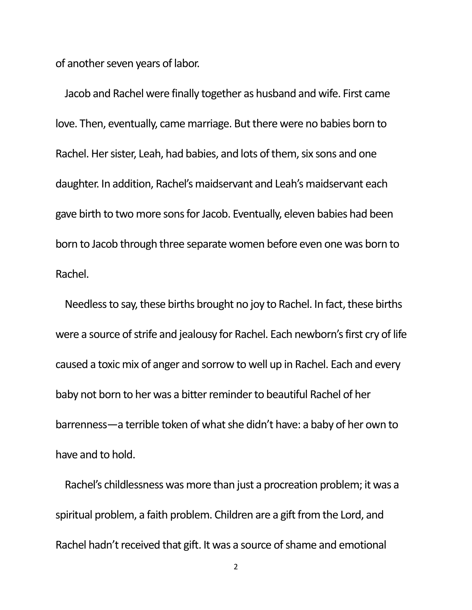of another seven years of labor.

Jacob and Rachel were finally together as husband and wife. First came love. Then, eventually, came marriage. But there were no babies born to Rachel. Her sister, Leah, had babies, and lots of them, six sons and one daughter. In addition, Rachel's maidservant and Leah's maidservant each gave birth to two more sons for Jacob. Eventually, eleven babies had been born to Jacob through three separate women before even one was born to Rachel.

Needless to say, these births brought no joy to Rachel. In fact, these births were a source of strife and jealousy for Rachel. Each newborn's first cry of life caused a toxic mix of anger and sorrow to well up in Rachel. Each and every baby not born to her was a bitter reminder to beautiful Rachel of her barrenness—a terrible token of what she didn't have: a baby of her own to have and to hold.

Rachel's childlessness was more than just a procreation problem; it was a spiritual problem, a faith problem. Children are a gift from the Lord, and Rachel hadn't received that gift. It was a source of shame and emotional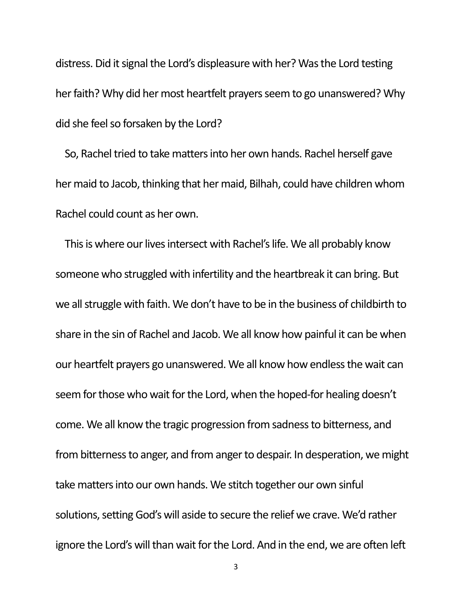distress. Did it signal the Lord's displeasure with her? Was the Lord testing her faith? Why did her most heartfelt prayers seem to go unanswered? Why did she feel so forsaken by the Lord?

So, Rachel tried to take matters into her own hands. Rachel herself gave her maid to Jacob, thinking that her maid, Bilhah, could have children whom Rachel could count as her own.

This is where our lives intersect with Rachel's life. We all probably know someone who struggled with infertility and the heartbreak it can bring. But we all struggle with faith. We don't have to be in the business of childbirth to share in the sin of Rachel and Jacob. We all know how painful it can be when our heartfelt prayers go unanswered. We all know how endless the wait can seem for those who wait for the Lord, when the hoped-for healing doesn't come. We all know the tragic progression from sadness to bitterness, and from bitterness to anger, and from anger to despair. In desperation, we might take matters into our own hands. We stitch together our own sinful solutions, setting God's will aside to secure the relief we crave. We'd rather ignore the Lord's will than wait for the Lord. And in the end, we are often left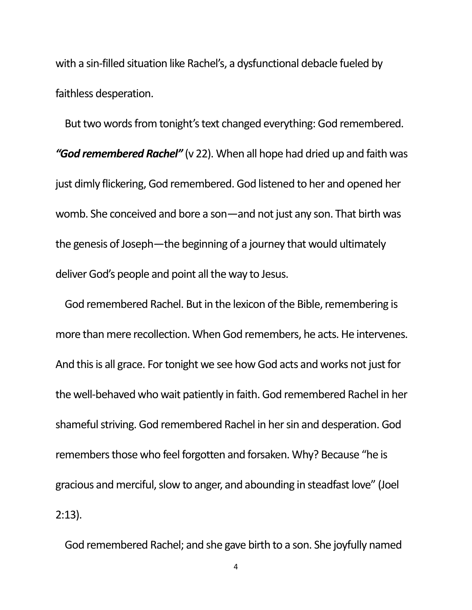with a sin-filled situation like Rachel's, a dysfunctional debacle fueled by faithless desperation.

But two words from tonight's text changed everything: God remembered. *"God remembered Rachel"* (v 22). When all hope had dried up and faith was just dimly flickering, God remembered. God listened to her and opened her womb. She conceived and bore a son—and not just any son. That birth was the genesis of Joseph—the beginning of a journey that would ultimately deliver God's people and point all the way to Jesus.

God remembered Rachel. But in the lexicon of the Bible, remembering is more than mere recollection. When God remembers, he acts. He intervenes. And this is all grace. For tonight we see how God acts and works not just for the well-behaved who wait patiently in faith. God remembered Rachel in her shameful striving. God remembered Rachel in her sin and desperation. God remembers those who feel forgotten and forsaken. Why? Because "he is gracious and merciful, slow to anger, and abounding in steadfast love" (Joel 2:13).

God remembered Rachel; and she gave birth to a son. She joyfully named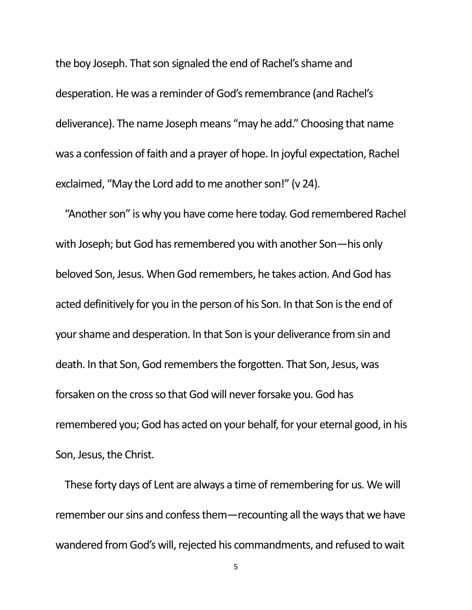the boy Joseph. That son signaled the end of Rachel's shame and desperation. He was a reminder of God's remembrance (and Rachel's deliverance). The name Joseph means "may he add." Choosing that name was a confession of faith and a prayer of hope. In joyful expectation, Rachel exclaimed, "May the Lord add to me another son!" (v 24).

"Another son" is why you have come here today. God remembered Rachel with Joseph; but God has remembered you with another Son—his only beloved Son, Jesus. When God remembers, he takes action. And God has acted definitively for you in the person of his Son. In that Son is the end of your shame and desperation. In that Son is your deliverance from sin and death. In that Son, God remembers the forgotten. That Son, Jesus, was forsaken on the cross so that God will never forsake you. God has remembered you; God has acted on your behalf, for your eternal good, in his Son, Jesus, the Christ.

These forty days of Lent are always a time of remembering for us. We will remember our sins and confess them—recounting all the ways that we have wandered from God's will, rejected his commandments, and refused to wait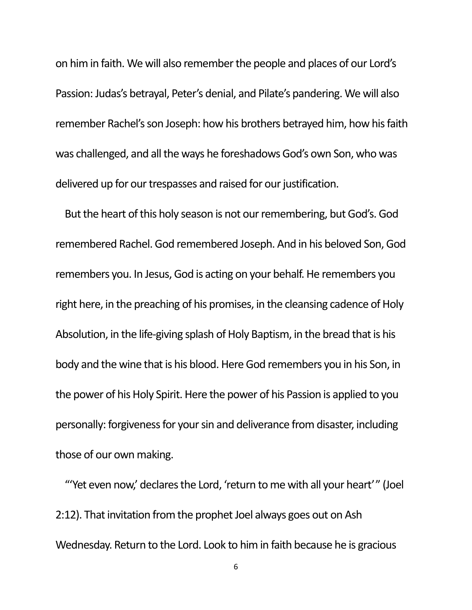on him in faith. We will also remember the people and places of our Lord's Passion: Judas's betrayal, Peter's denial, and Pilate's pandering. We will also remember Rachel's son Joseph: how his brothers betrayed him, how his faith was challenged, and all the ways he foreshadows God's own Son, who was delivered up for our trespasses and raised for our justification.

But the heart of this holy season is not our remembering, but God's. God remembered Rachel. God remembered Joseph. And in his beloved Son, God remembers you. In Jesus, God is acting on your behalf. He remembers you right here, in the preaching of his promises, in the cleansing cadence of Holy Absolution, in the life-giving splash of Holy Baptism, in the bread that is his body and the wine that is his blood. Here God remembers you in his Son, in the power of his Holy Spirit. Here the power of his Passion is applied to you personally: forgiveness for your sin and deliverance from disaster, including those of our own making.

"'Yet even now,' declares the Lord, 'return to me with all your heart' " (Joel 2:12). That invitation from the prophet Joel always goes out on Ash Wednesday. Return to the Lord. Look to him in faith because he is gracious